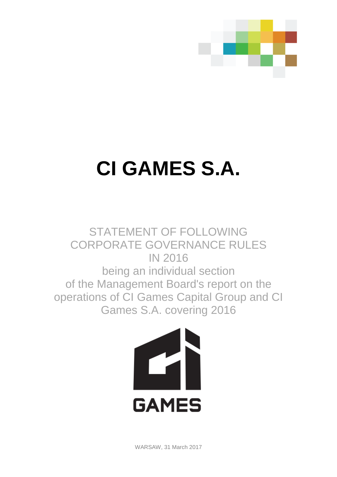

# **CI GAMES S.A.**

STATEMENT OF FOLLOWING CORPORATE GOVERNANCE RULES IN 2016 being an individual section of the Management Board's report on the operations of CI Games Capital Group and CI Games S.A. covering 2016



WARSAW, 31 March 2017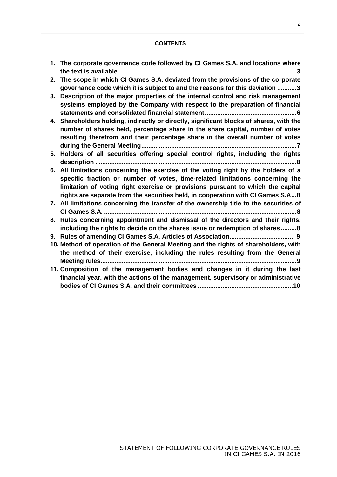# **CONTENTS**

- **1. The corporate governance code followed by CI Games S.A. and locations where the text is available .....................................................................................................3**
- **2. The scope in which CI Games S.A. deviated from the provisions of the corporate governance code which it is subject to and the reasons for this deviation ...........3**
- **3. Description of the major properties of the internal control and risk management systems employed by the Company with respect to the preparation of financial statements and consolidated financial statement....................................................6**
- **4. Shareholders holding, indirectly or directly, significant blocks of shares, with the number of shares held, percentage share in the share capital, number of votes resulting therefrom and their percentage share in the overall number of votes during the General Meeting........................................................................................7**
- **5. Holders of all securities offering special control rights, including the rights description ..................................................................................................................8**
- **6. All limitations concerning the exercise of the voting right by the holders of a specific fraction or number of votes, time-related limitations concerning the limitation of voting right exercise or provisions pursuant to which the capital rights are separate from the securities held, in cooperation with CI Games S.A...8**
- **7. All limitations concerning the transfer of the ownership title to the securities of CI Games S.A. .............................................................................................................8**
- **8. Rules concerning appointment and dismissal of the directors and their rights, including the rights to decide on the shares issue or redemption of shares.........8**
- **9. Rules of amending CI Games S.A. Articles of Association.................................... 9**
- **10. Method of operation of the General Meeting and the rights of shareholders, with the method of their exercise, including the rules resulting from the General Meeting rules...............................................................................................................9**
- **11. Composition of the management bodies and changes in it during the last financial year, with the actions of the management, supervisory or administrative bodies of CI Games S.A. and their committees ......................................................10**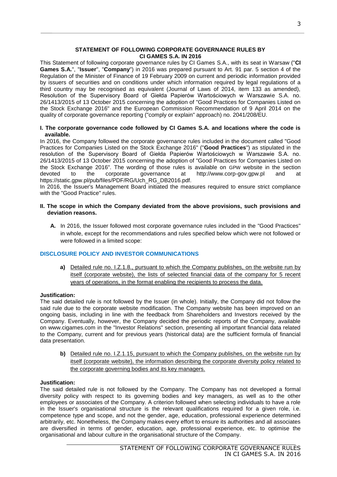## **STATEMENT OF FOLLOWING CORPORATE GOVERNANCE RULES BY CI GAMES S.A. IN 2016**

This Statement of following corporate governance rules by CI Games S.A., with its seat in Warsaw ("**CI Games S.A.**", "**Issuer**", "**Company**") in 2016 was prepared pursuant to Art. 91 par. 5 section 4 of the Regulation of the Minister of Finance of 19 February 2009 on current and periodic information provided by issuers of securities and on conditions under which information required by legal regulations of a third country may be recognised as equivalent (Journal of Laws of 2014, item 133 as amended), Resolution of the Supervisory Board of Giełda Papierów Wartościowych w Warszawie S.A. no. 26/1413/2015 of 13 October 2015 concerning the adoption of "Good Practices for Companies Listed on the Stock Exchange 2016" and the European Commission Recommendation of 9 April 2014 on the quality of corporate governance reporting ("comply or explain" approach) no. 2041/208/EU.

## **I. The corporate governance code followed by CI Games S.A. and locations where the code is available.**

In 2016, the Company followed the corporate governance rules included in the document called "Good Practices for Companies Listed on the Stock Exchange 2016" ("**Good Practices**") as stipulated in the resolution of the Supervisory Board of Giełda Papierów Wartościowych w Warszawie S.A. no. 26/1413/2015 of 13 October 2015 concerning the adoption of "Good Practices for Companies Listed on the Stock Exchange 2016". The wording of those rules is available on GPW website in the section devoted to the corporate governance at http://www.corp-gov.gpw.pl and at devoted to the corporate governance at http://www.corp-gov.gpw.pl and at https://static.gpw.pl/pub/files/PDF/RG/Uch\_RG\_DB2016.pdf.

In 2016, the Issuer's Management Board initiated the measures required to ensure strict compliance with the "Good Practice" rules.

- **II. The scope in which the Company deviated from the above provisions, such provisions and deviation reasons.**
	- **A.** In 2016, the Issuer followed most corporate governance rules included in the "Good Practices" in whole, except for the recommendations and rules specified below which were not followed or were followed in a limited scope:

# **DISCLOSURE POLICY AND INVESTOR COMMUNICATIONS**

**a)** Detailed rule no. I.Z.1.8., pursuant to which the Company publishes, on the website run by itself (corporate website), the lists of selected financial data of the company for 5 recent years of operations, in the format enabling the recipients to process the data.

## **Justification:**

The said detailed rule is not followed by the Issuer (in whole). Initially, the Company did not follow the said rule due to the corporate website modification. The Company website has been improved on an ongoing basis, including in line with the feedback from Shareholders and Investors received by the Company. Eventually, however, the Company decided the periodic reports of the Company, available on www.cigames.com in the "Investor Relations" section, presenting all important financial data related to the Company, current and for previous years (historical data) are the sufficient formula of financial data presentation.

**b)** Detailed rule no. I.Z.1.15, pursuant to which the Company publishes, on the website run by itself (corporate website), the information describing the corporate diversity policy related to the corporate governing bodies and its key managers.

## **Justification:**

The said detailed rule is not followed by the Company. The Company has not developed a formal diversity policy with respect to its governing bodies and key managers, as well as to the other employees or associates of the Company. A criterion followed when selecting individuals to have a role in the Issuer's organisational structure is the relevant qualifications required for a given role, i.e. competence type and scope, and not the gender, age, education, professional experience determined arbitrarily, etc. Nonetheless, the Company makes every effort to ensure its authorities and all associates are diversified in terms of gender, education, age, professional experience, etc. to optimise the organisational and labour culture in the organisational structure of the Company.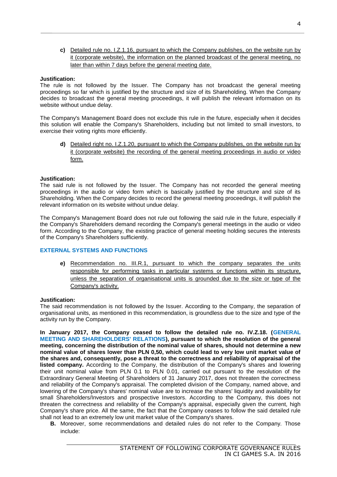**c)** Detailed rule no. I.Z.1.16, pursuant to which the Company publishes, on the website run by it (corporate website), the information on the planned broadcast of the general meeting, no later than within 7 days before the general meeting date.

## **Justification:**

The rule is not followed by the Issuer. The Company has not broadcast the general meeting proceedings so far which is justified by the structure and size of its Shareholding. When the Company decides to broadcast the general meeting proceedings, it will publish the relevant information on its website without undue delay.

The Company's Management Board does not exclude this rule in the future, especially when it decides this solution will enable the Company's Shareholders, including but not limited to small investors, to exercise their voting rights more efficiently.

**d)** Detailed right no. I.Z.1.20, pursuant to which the Company publishes, on the website run by it (corporate website) the recording of the general meeting proceedings in audio or video form.

#### **Justification:**

The said rule is not followed by the Issuer. The Company has not recorded the general meeting proceedings in the audio or video form which is basically justified by the structure and size of its Shareholding. When the Company decides to record the general meeting proceedings, it will publish the relevant information on its website without undue delay.

The Company's Management Board does not rule out following the said rule in the future, especially if the Company's Shareholders demand recording the Company's general meetings in the audio or video form. According to the Company, the existing practice of general meeting holding secures the interests of the Company's Shareholders sufficiently.

## **EXTERNAL SYSTEMS AND FUNCTIONS**

**e)** Recommendation no. III.R.1, pursuant to which the company separates the units responsible for performing tasks in particular systems or functions within its structure, unless the separation of organisational units is grounded due to the size or type of the Company's activity.

#### **Justification:**

The said recommendation is not followed by the Issuer. According to the Company, the separation of organisational units, as mentioned in this recommendation, is groundless due to the size and type of the activity run by the Company.

**In January 2017, the Company ceased to follow the detailed rule no. IV.Z.18. (GENERAL MEETING AND SHAREHOLDERS' RELATIONS), pursuant to which the resolution of the general meeting, concerning the distribution of the nominal value of shares, should not determine a new nominal value of shares lower than PLN 0,50, which could lead to very low unit market value of the shares and, consequently, pose a threat to the correctness and reliability of appraisal of the listed company.** According to the Company, the distribution of the Company's shares and lowering their unit nominal value from PLN 0.1 to PLN 0.01, carried out pursuant to the resolution of the Extraordinary General Meeting of Shareholders of 31 January 2017, does not threaten the correctness and reliability of the Company's appraisal. The completed division of the Company, named above, and lowering of the Company's shares' nominal value are to increase the shares' liquidity and availability for small Shareholders/Investors and prospective Investors. According to the Company, this does not threaten the correctness and reliability of the Company's appraisal, especially given the current, high Company's share price. All the same, the fact that the Company ceases to follow the said detailed rule shall not lead to an extremely low unit market value of the Company's shares.

**B.** Moreover, some recommendations and detailed rules do not refer to the Company. Those include: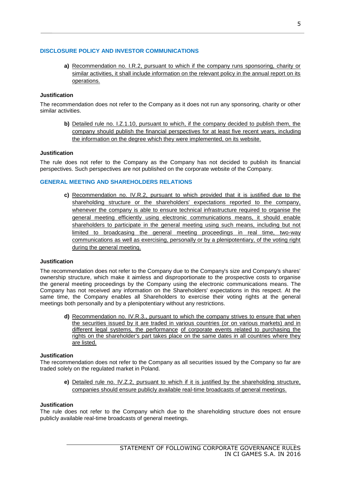# **DISCLOSURE POLICY AND INVESTOR COMMUNICATIONS**

**a)** Recommendation no. I.R.2, pursuant to which if the company runs sponsoring, charity or similar activities, it shall include information on the relevant policy in the annual report on its operations.

# **Justification**

The recommendation does not refer to the Company as it does not run any sponsoring, charity or other similar activities.

**b)** Detailed rule no. I.Z.1.10, pursuant to which, if the company decided to publish them, the company should publish the financial perspectives for at least five recent years, including the information on the degree which they were implemented, on its website.

# **Justification**

The rule does not refer to the Company as the Company has not decided to publish its financial perspectives. Such perspectives are not published on the corporate website of the Company.

# **GENERAL MEETING AND SHAREHOLDERS RELATIONS**

**c)** Recommendation no. IV.R.2, pursuant to which provided that it is justified due to the shareholding structure or the shareholders' expectations reported to the company, whenever the company is able to ensure technical infrastructure required to organise the general meeting efficiently using electronic communications means, it should enable shareholders to participate in the general meeting using such means, including but not limited to broadcasing the general meeting proceedings in real time, two-way communications as well as exercising, personally or by a plenipotentiary, of the voting right during the general meeting.

## **Justification**

The recommendation does not refer to the Company due to the Company's size and Company's shares' ownership structure, which make it aimless and disproportionate to the prospective costs to organise the general meeting proceedings by the Company using the electronic communications means. The Company has not received any information on the Shareholders' expectations in this respect. At the same time, the Company enables all Shareholders to exercise their voting rights at the general meetings both personally and by a plenipotentiary without any restrictions.

**d)** Recommendation no. IV.R.3., pursuant to which the company strives to ensure that when the securities issued by it are traded in various countries (or on various markets) and in different legal systems, the performance of corporate events related to purchasing the rights on the shareholder's part takes place on the same dates in all countries where they are listed.

## **Justification**

The recommendation does not refer to the Company as all securities issued by the Company so far are traded solely on the regulated market in Poland.

**e)** Detailed rule no. IV.Z.2, pursuant to which if it is justified by the shareholding structure, companies should ensure publicly available real-time broadcasts of general meetings.

## **Justification**

The rule does not refer to the Company which due to the shareholding structure does not ensure publicly available real-time broadcasts of general meetings.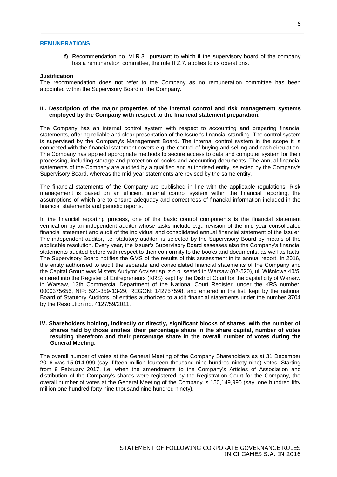#### **REMUNERATIONS**

**f)** Recommendation no. VI.R.3., pursuant to which if the supervisory board of the company has a remuneration committee, the rule II.Z.7, applies to its operations.

#### **Justification**

The recommendation does not refer to the Company as no remuneration committee has been appointed within the Supervisory Board of the Company.

#### **III. Description of the major properties of the internal control and risk management systems employed by the Company with respect to the financial statement preparation.**

The Company has an internal control system with respect to accounting and preparing financial statements, offering reliable and clear presentation of the Issuer's financial standing. The control system is supervised by the Company's Management Board. The internal control system in the scope it is connected with the financial statement covers e.g. the control of buying and selling and cash circulation. The Company has applied appropriate methods to secure access to data and computer system for their processing, including storage and protection of books and accounting documents. The annual financial statements of the Company are audited by a qualified and authorised entity, selected by the Company's Supervisory Board, whereas the mid-year statements are revised by the same entity.

The financial statements of the Company are published in line with the applicable regulations. Risk management is based on an efficient internal control system within the financial reporting, the assumptions of which are to ensure adequacy and correctness of financial information included in the financial statements and periodic reports.

In the financial reporting process, one of the basic control components is the financial statement verification by an independent auditor whose tasks include e.g.: revision of the mid-year consolidated financial statement and audit of the individual and consolidated annual financial statement of the Issuer. The independent auditor, i.e. statutory auditor, is selected by the Supervisory Board by means of the applicable resolution. Every year, the Issuer's Supervisory Board assesses also the Company's financial statements audited before with respect to their conformity to the books and documents, as well as facts. The Supervisory Board notifies the GMS of the results of this assessment in its annual report. In 2016, the entity authorised to audit the separate and consolidated financial statements of the Company and the Capital Group was Misters Audytor Adviser sp. z o.o. seated in Warsaw (02-520), ul. Wiśniowa 40/5, entered into the Register of Entrepreneurs (KRS) kept by the District Court for the capital city of Warsaw in Warsaw, 13th Commercial Department of the National Court Register, under the KRS number: 0000375656, NIP: 521-359-13-29, REGON: 142757598, and entered in the list, kept by the national Board of Statutory Auditors, of entities authorized to audit financial statements under the number 3704 by the Resolution no. 4127/59/2011.

#### **IV. Shareholders holding, indirectly or directly, significant blocks of shares, with the number of shares held by those entities, their percentage share in the share capital, number of votes resulting therefrom and their percentage share in the overall number of votes during the General Meeting.**

The overall number of votes at the General Meeting of the Company Shareholders as at 31 December 2016 was 15,014,999 (say: fifteen million fourteen thousand nine hundred ninety nine) votes. Starting from 9 February 2017, i.e. when the amendments to the Company's Articles of Association and distribution of the Company's shares were registered by the Registration Court for the Company, the overall number of votes at the General Meeting of the Company is 150,149,990 (say: one hundred fifty million one hundred forty nine thousand nine hundred ninety).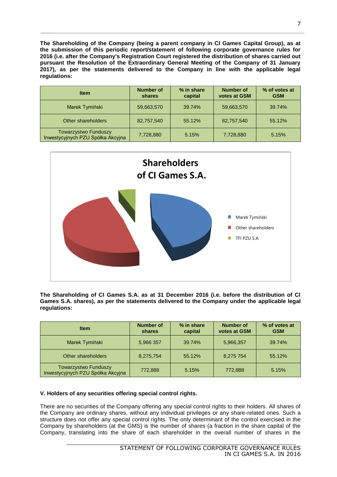**The Shareholding of the Company (being a parent company in CI Games Capital Group), as at the submission of this periodic report/statement of following corporate governance rules for 2016 (i.e. after the Company's Registration Court registered the distribution of shares carried out pursuant the Resolution of the Extraordinary General Meeting of the Company of 31 January 2017), as per the statements delivered to the Company in line with the applicable legal regulations:**

| <b>Item</b>                                                      | <b>Number of</b><br>shares | % in share<br>capital | <b>Number of</b><br>votes at GSM | % of votes at<br><b>GSM</b> |
|------------------------------------------------------------------|----------------------------|-----------------------|----------------------------------|-----------------------------|
| Marek Tymiński                                                   | 59,663,570                 | 39.74%                | 59,663,570                       | 39.74%                      |
| Other shareholders                                               | 82,757,540                 | 55.12%                | 82,757,540                       | 55.12%                      |
| <b>Towarzystwo Funduszy</b><br>Inwestycyjnych PZU Spółka Akcyjna | 7,728,880                  | 5.15%                 | 7,728,880                        | 5.15%                       |



**The Shareholding of CI Games S.A. as at 31 December 2016 (i.e. before the distribution of CI Games S.A. shares), as per the statements delivered to the Company under the applicable legal regulations:**

| <b>Item</b>                                               | <b>Number of</b><br>shares | % in share<br>capital | Number of<br>votes at GSM | % of votes at<br><b>GSM</b> |
|-----------------------------------------------------------|----------------------------|-----------------------|---------------------------|-----------------------------|
| Marek Tymiński                                            | 5,966 357                  | 39.74%                | 5,966,357                 | 39.74%                      |
| Other shareholders                                        | 8,275,754                  | 55.12%                | 8,275 754                 | 55.12%                      |
| Towarzystwo Funduszy<br>Inwestycyjnych PZU Spółka Akcyjna | 772,888                    | 5.15%                 | 772,888                   | 5.15%                       |

## **V. Holders of any securities offering special control rights.**

There are no securities of the Company offering any special control rights to their holders. All shares of the Company are ordinary shares, without any individual privileges or any share-related ones. Such a structure does not offer any special control rights. The only determinant of the control exercised in the Company by shareholders (at the GMS) is the number of shares (a fraction in the share capital of the Company, translating into the share of each shareholder in the overall number of shares in the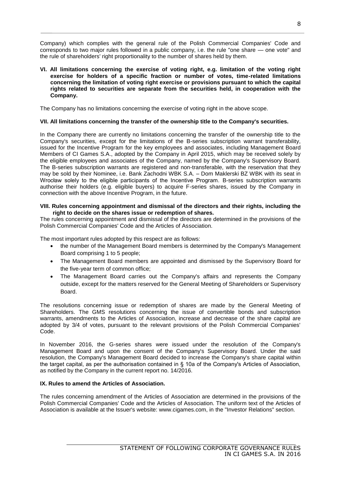Company) which complies with the general rule of the Polish Commercial Companies' Code and corresponds to two major rules followed in a public company, i.e. the rule "one share — one vote" and the rule of shareholders' right proportionality to the number of shares held by them.

**VI. All limitations concerning the exercise of voting right, e.g. limitation of the voting right exercise for holders of a specific fraction or number of votes, time-related limitations concerning the limitation of voting right exercise or provisions pursuant to which the capital rights related to securities are separate from the securities held, in cooperation with the Company.**

The Company has no limitations concerning the exercise of voting right in the above scope.

## **VII. All limitations concerning the transfer of the ownership title to the Company's securities.**

In the Company there are currently no limitations concerning the transfer of the ownership title to the Company's securities, except for the limitations of the B-series subscription warrant transferability, issued for the Incentive Program for the key employees and associates, including Management Board Members of CI Games S.A., adopted by the Company in April 2015, which may be received solely by the eligible employees and associates of the Company, named by the Company's Supervisory Board. The B-series subscription warrants are registered and non-transferable, with the reservation that they may be sold by their Nominee, i.e. Bank Zachodni WBK S.A. - Dom Maklerski BZ WBK with its seat in Wrocław solely to the eligible participants of the Incentive Program. B-series subscription warrants authorise their holders (e.g. eligible buyers) to acquire F-series shares, issued by the Company in connection with the above Incentive Program, in the future.

#### **VIII. Rules concerning appointment and dismissal of the directors and their rights, including the right to decide on the shares issue or redemption of shares.**

The rules concerning appointment and dismissal of the directors are determined in the provisions of the Polish Commercial Companies' Code and the Articles of Association.

The most important rules adopted by this respect are as follows:

- the number of the Management Board members is determined by the Company's Management Board comprising 1 to 5 people;
- The Management Board members are appointed and dismissed by the Supervisory Board for the five-year term of common office;
- The Management Board carries out the Company's affairs and represents the Company outside, except for the matters reserved for the General Meeting of Shareholders or Supervisory **Board**

The resolutions concerning issue or redemption of shares are made by the General Meeting of Shareholders. The GMS resolutions concerning the issue of convertible bonds and subscription warrants, amendments to the Articles of Association, increase and decrease of the share capital are adopted by 3/4 of votes, pursuant to the relevant provisions of the Polish Commercial Companies' Code.

In November 2016, the G-series shares were issued under the resolution of the Company's Management Board and upon the consent of the Company's Supervisory Board. Under the said resolution, the Company's Management Board decided to increase the Company's share capital within the target capital, as per the authorisation contained in § 10a of the Company's Articles of Association, as notified by the Company in the current report no. 14/2016.

#### **IX. Rules to amend the Articles of Association.**

The rules concerning amendment of the Articles of Association are determined in the provisions of the Polish Commercial Companies' Code and the Articles of Association. The uniform text of the Articles of Association is available at the Issuer's website: www.cigames.com, in the "Investor Relations" section.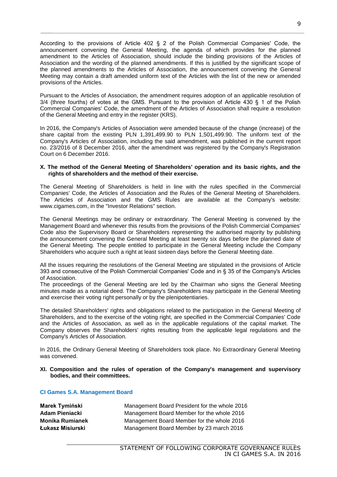According to the provisions of Article 402 § 2 of the Polish Commercial Companies' Code, the announcement convening the General Meeting, the agenda of which provides for the planned amendment to the Articles of Association, should include the binding provisions of the Articles of Association and the wording of the planned amendments. If this is justified by the significant scope of the planned amendments to the Articles of Association, the announcement convening the General Meeting may contain a draft amended uniform text of the Articles with the list of the new or amended provisions of the Articles.

Pursuant to the Articles of Association, the amendment requires adoption of an applicable resolution of 3/4 (three fourths) of votes at the GMS. Pursuant to the provision of Article 430 § 1 of the Polish Commercial Companies' Code, the amendment of the Articles of Association shall require a resolution of the General Meeting and entry in the register (KRS).

In 2016, the Company's Articles of Association were amended because of the change (increase) of the share capital from the existing PLN 1,391,499.90 to PLN 1,501,499.90. The uniform text of the Company's Articles of Association, including the said amendment, was published in the current report no. 23/2016 of 8 December 2016, after the amendment was registered by the Company's Registration Court on 6 December 2016.

#### **X. The method of the General Meeting of Shareholders' operation and its basic rights, and the rights of shareholders and the method of their exercise.**

The General Meeting of Shareholders is held in line with the rules specified in the Commercial Companies' Code, the Articles of Association and the Rules of the General Meeting of Shareholders. The Articles of Association and the GMS Rules are available at the Company's website: www.cigames.com, in the "Investor Relations" section.

The General Meetings may be ordinary or extraordinary. The General Meeting is convened by the Management Board and whenever this results from the provisions of the Polish Commercial Companies' Code also the Supervisory Board or Shareholders representing the authorised majority by publishing the announcement convening the General Meeting at least twenty six days before the planned date of the General Meeting. The people entitled to participate in the General Meeting include the Company Shareholders who acquire such a right at least sixteen days before the General Meeting date.

All the issues requiring the resolutions of the General Meeting are stipulated in the provisions of Article 393 and consecutive of the Polish Commercial Companies' Code and in § 35 of the Company's Articles of Association.

The proceedings of the General Meeting are led by the Chairman who signs the General Meeting minutes made as a notarial deed. The Company's Shareholders may participate in the General Meeting and exercise their voting right personally or by the plenipotentiaries.

The detailed Shareholders' rights and obligations related to the participation in the General Meeting of Shareholders, and to the exercise of the voting right, are specified in the Commercial Companies' Code and the Articles of Association, as well as in the applicable regulations of the capital market. The Company observes the Shareholders' rights resulting from the applicable legal regulations and the Company's Articles of Association.

In 2016, the Ordinary General Meeting of Shareholders took place. No Extraordinary General Meeting was convened.

#### **XI. Composition and the rules of operation of the Company's management and supervisory bodies, and their committees.**

#### **CI Games S.A. Management Board**

| Marek Tymiński   | Management Board President for the whole 2016 |
|------------------|-----------------------------------------------|
| Adam Pieniacki   | Management Board Member for the whole 2016    |
| Monika Rumianek  | Management Board Member for the whole 2016    |
| Łukasz Misiurski | Management Board Member by 23 march 2016      |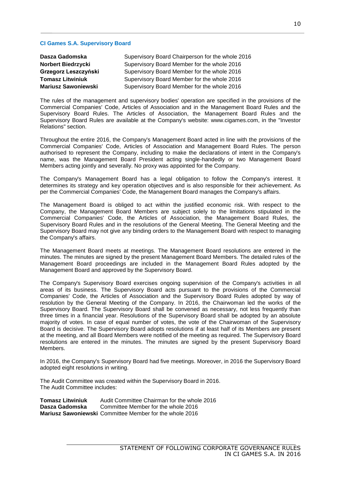#### **CI Games S.A. Supervisory Board**

| Dasza Gadomska             | Supervisory Board Chairperson for the whole 2016 |
|----------------------------|--------------------------------------------------|
| <b>Norbert Biedrzycki</b>  | Supervisory Board Member for the whole 2016      |
| Grzegorz Leszczyński       | Supervisory Board Member for the whole 2016      |
| <b>Tomasz Litwiniuk</b>    | Supervisory Board Member for the whole 2016      |
| <b>Mariusz Sawoniewski</b> | Supervisory Board Member for the whole 2016      |

The rules of the management and supervisory bodies' operation are specified in the provisions of the Commercial Companies' Code, Articles of Association and in the Management Board Rules and the Supervisory Board Rules. The Articles of Association, the Management Board Rules and the Supervisory Board Rules are available at the Company's website: www.cigames.com, in the "Investor Relations" section.

Throughout the entire 2016, the Company's Management Board acted in line with the provisions of the Commercial Companies' Code, Articles of Association and Management Board Rules. The person authorised to represent the Company, including to make the declarations of intent in the Company's name, was the Management Board President acting single-handedly or two Management Board Members acting jointly and severally. No proxy was appointed for the Company.

The Company's Management Board has a legal obligation to follow the Company's interest. It determines its strategy and key operation objectives and is also responsible for their achievement. As per the Commercial Companies' Code, the Management Board manages the Company's affairs.

The Management Board is obliged to act within the justified economic risk. With respect to the Company, the Management Board Members are subject solely to the limitations stipulated in the Commercial Companies' Code, the Articles of Association, the Management Board Rules, the Supervisory Board Rules and in the resolutions of the General Meeting. The General Meeting and the Supervisory Board may not give any binding orders to the Management Board with respect to managing the Company's affairs.

The Management Board meets at meetings. The Management Board resolutions are entered in the minutes. The minutes are signed by the present Management Board Members. The detailed rules of the Management Board proceedings are included in the Management Board Rules adopted by the Management Board and approved by the Supervisory Board.

The Company's Supervisory Board exercises ongoing supervision of the Company's activities in all areas of its business. The Supervisory Board acts pursuant to the provisions of the Commercial Companies' Code, the Articles of Association and the Supervisory Board Rules adopted by way of resolution by the General Meeting of the Company. In 2016, the Chairwoman led the works of the Supervisory Board. The Supervisory Board shall be convened as necessary, not less frequently than three times in a financial year. Resolutions of the Supervisory Board shall be adopted by an absolute majority of votes. In case of equal number of votes, the vote of the Chairwoman of the Supervisory Board is decisive. The Supervisory Board adopts resolutions if at least half of its Members are present at the meeting, and all Board Members were notified of the meeting as required. The Supervisory Board resolutions are entered in the minutes. The minutes are signed by the present Supervisory Board Members.

In 2016, the Company's Supervisory Board had five meetings. Moreover, in 2016 the Supervisory Board adopted eight resolutions in writing.

The Audit Committee was created within the Supervisory Board in 2016. The Audit Committee includes:

**Tomasz Litwiniuk** Audit Committee Chairman for the whole 2016 **Dasza Gadomska** Committee Member for the whole 2016 **Mariusz Sawoniewski** Committee Member for the whole 2016